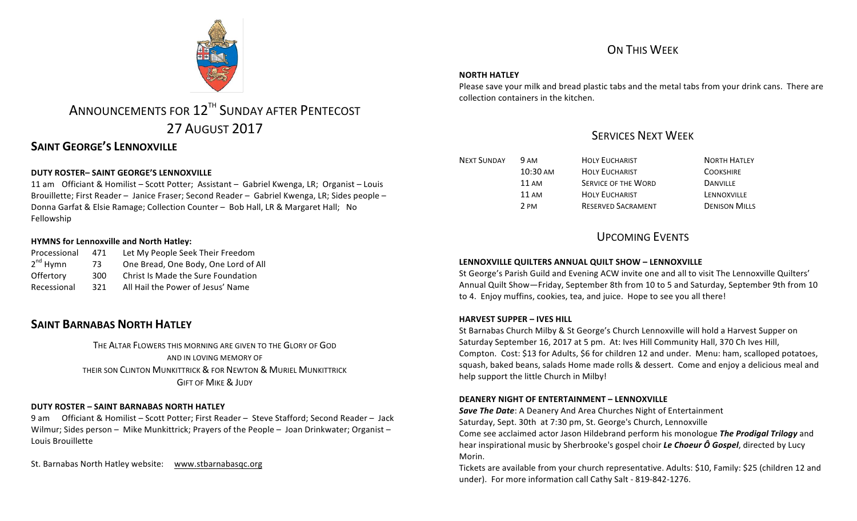

# ANNOUNCEMENTS FOR 12<sup>TH</sup> SUNDAY AFTER PENTECOST 27 AUGUST 2017

# **SAINT GEORGE'S LENNOXVILLE**

# **DUTY ROSTER– SAINT GEORGE'S LENNOXVILLE**

11 am Officiant & Homilist – Scott Potter; Assistant – Gabriel Kwenga, LR; Organist – Louis Brouillette; First Reader – Janice Fraser; Second Reader – Gabriel Kwenga, LR; Sides people – Donna Garfat & Elsie Ramage; Collection Counter - Bob Hall, LR & Margaret Hall; No Fellowship

### **HYMNS for Lennoxville and North Hatley:**

| Processional         | 471 | Let My People Seek Their Freedom     |  |
|----------------------|-----|--------------------------------------|--|
| 2 <sup>nd</sup> Hvmn | 73. | One Bread, One Body, One Lord of All |  |
| Offertory            | 300 | Christ Is Made the Sure Foundation   |  |
| Recessional          | 321 | All Hail the Power of Jesus' Name    |  |

# **SAINT BARNABAS NORTH HATLEY**

THE ALTAR FLOWERS THIS MORNING ARE GIVEN TO THE GLORY OF GOD AND IN LOVING MEMORY OF THEIR SON CLINTON MUNKITTRICK & FOR NEWTON & MURIEL MUNKITTRICK **GIFT OF MIKE & JUDY** 

## **DUTY ROSTER – SAINT BARNABAS NORTH HATLEY**

9 am Officiant & Homilist – Scott Potter; First Reader – Steve Stafford; Second Reader – Jack Wilmur; Sides person - Mike Munkittrick; Prayers of the People - Joan Drinkwater; Organist -Louis Brouillette

St. Barnabas North Hatley website: www.stbarnabasqc.org

# ON THIS WEEK

### **NORTH HATLEY**

Please save your milk and bread plastic tabs and the metal tabs from your drink cans. There are collection containers in the kitchen.

# **SERVICES NEXT WEEK**

| <b>NEXT SUNDAY</b> | 9 AM            | <b>HOLY EUCHARIST</b>      | <b>NORTH HATLEY</b>  |
|--------------------|-----------------|----------------------------|----------------------|
|                    | $10:30$ AM      | <b>HOLY EUCHARIST</b>      | <b>COOKSHIRE</b>     |
|                    | $11 \text{ AM}$ | <b>SERVICE OF THE WORD</b> | <b>DANVILLE</b>      |
|                    | $11 \text{ AM}$ | <b>HOLY EUCHARIST</b>      | LENNOXVILLE          |
|                    | 2 PM            | <b>RESERVED SACRAMENT</b>  | <b>DENISON MILLS</b> |

# UPCOMING EVENTS

### **LENNOXVILLE OUILTERS ANNUAL OUILT SHOW - LENNOXVILLE**

St George's Parish Guild and Evening ACW invite one and all to visit The Lennoxville Quilters' Annual Quilt Show-Friday, September 8th from 10 to 5 and Saturday, September 9th from 10 to 4. Enjoy muffins, cookies, tea, and juice. Hope to see you all there!

## **HARVEST SUPPER – IVES HILL**

St Barnabas Church Milby & St George's Church Lennoxville will hold a Harvest Supper on Saturday September 16, 2017 at 5 pm. At: Ives Hill Community Hall, 370 Ch Ives Hill, Compton. Cost: \$13 for Adults, \$6 for children 12 and under. Menu: ham, scalloped potatoes, squash, baked beans, salads Home made rolls & dessert. Come and enjoy a delicious meal and help support the little Church in Milby!

### **DEANERY NIGHT OF ENTERTAINMENT - LENNOXVILLE**

**Save The Date:** A Deanery And Area Churches Night of Entertainment Saturday, Sept. 30th at 7:30 pm, St. George's Church, Lennoxville Come see acclaimed actor Jason Hildebrand perform his monologue *The Prodigal Trilogy* and hear inspirational music by Sherbrooke's gospel choir *Le Choeur Ô Gospel*, directed by Lucy Morin.

Tickets are available from your church representative. Adults: \$10, Family: \$25 (children 12 and under). For more information call Cathy Salt - 819-842-1276.